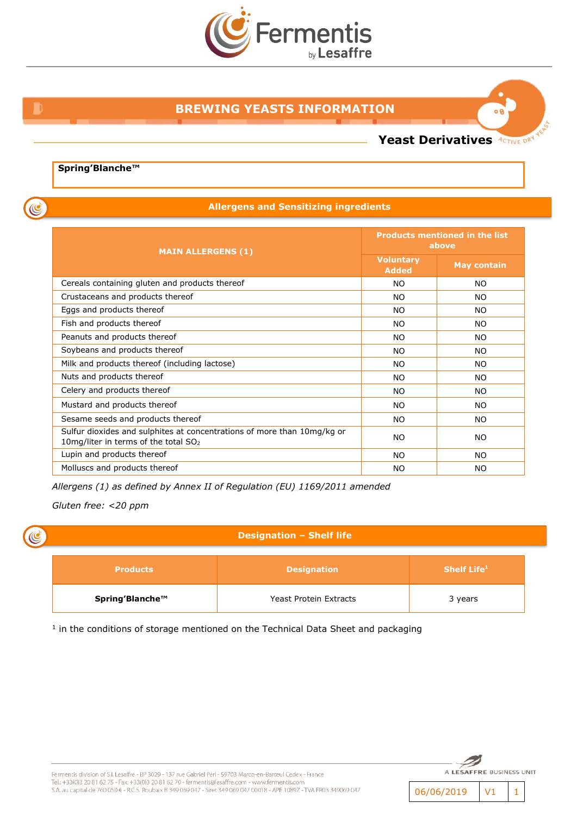

## **BREWING YEASTS INFORMATION**

**Yeast Derivatives ACTIVE DRY** 

 $08$ 

#### **Spring'Blanche™**

**Allergens and Sensitizing ingredients**

| <b>MAIN ALLERGENS (1)</b>                                                                                         | <b>Products mentioned in the list</b><br>above |                    |
|-------------------------------------------------------------------------------------------------------------------|------------------------------------------------|--------------------|
|                                                                                                                   | <b>Voluntary</b><br><b>Added</b>               | <b>May contain</b> |
| Cereals containing gluten and products thereof                                                                    | NO.                                            | <b>NO</b>          |
| Crustaceans and products thereof                                                                                  | <b>NO</b>                                      | <b>NO</b>          |
| Eggs and products thereof                                                                                         | <b>NO</b>                                      | <b>NO</b>          |
| Fish and products thereof                                                                                         | <b>NO</b>                                      | <b>NO</b>          |
| Peanuts and products thereof                                                                                      | NO.                                            | <b>NO</b>          |
| Soybeans and products thereof                                                                                     | <b>NO</b>                                      | <b>NO</b>          |
| Milk and products thereof (including lactose)                                                                     | NO.                                            | <b>NO</b>          |
| Nuts and products thereof                                                                                         | NO.                                            | <b>NO</b>          |
| Celery and products thereof                                                                                       | NO.                                            | <b>NO</b>          |
| Mustard and products thereof                                                                                      | NO.                                            | <b>NO</b>          |
| Sesame seeds and products thereof                                                                                 | NO.                                            | <b>NO</b>          |
| Sulfur dioxides and sulphites at concentrations of more than 10mg/kg or<br>10mg/liter in terms of the total $SO2$ | NO.                                            | <b>NO</b>          |
| Lupin and products thereof                                                                                        | NO.                                            | <b>NO</b>          |
| Molluscs and products thereof                                                                                     | NO.                                            | <b>NO</b>          |

*Allergens (1) as defined by Annex II of Regulation (EU) 1169/2011 amended*

*Gluten free: <20 ppm*

## **Designation – Shelf life**

| <b>Products</b> | <b>Designation</b>     | Shelf Life $1$ |
|-----------------|------------------------|----------------|
| Spring'Blanche™ | Yeast Protein Extracts | 3 years        |

<sup>1</sup> in the conditions of storage mentioned on the Technical Data Sheet and packaging



06/06/2019 V1 1

C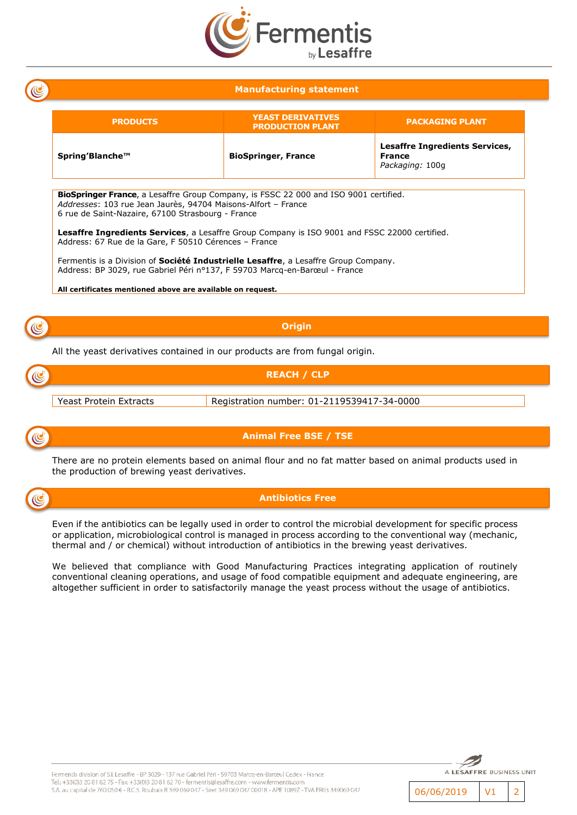

## **Manufacturing statement**

| <b>PRODUCTS</b>                                                                                                                                                                                                     | <b>YEAST DERIVATIVES</b><br><b>PRODUCTION PLANT</b> | <b>PACKAGING PLANT</b>                                                    |  |  |
|---------------------------------------------------------------------------------------------------------------------------------------------------------------------------------------------------------------------|-----------------------------------------------------|---------------------------------------------------------------------------|--|--|
| Spring'Blanche™                                                                                                                                                                                                     | <b>BioSpringer, France</b>                          | <b>Lesaffre Ingredients Services,</b><br><b>France</b><br>Packaging: 100g |  |  |
| <b>BioSpringer France</b> , a Lesaffre Group Company, is FSSC 22 000 and ISO 9001 certified.<br>Addresses: 103 rue Jean Jaurès, 94704 Maisons-Alfort - France                                                       |                                                     |                                                                           |  |  |
| 6 rue de Saint-Nazaire, 67100 Strasbourg - France<br><b>Lesaffre Ingredients Services</b> , a Lesaffre Group Company is ISO 9001 and FSSC 22000 certified.<br>Address: 67 Rue de la Gare, F 50510 Cérences - France |                                                     |                                                                           |  |  |
| Fermentis is a Division of <b>Société Industrielle Lesaffre</b> , a Lesaffre Group Company.<br>Address: BP 3029, rue Gabriel Péri nº137, F 59703 Marcg-en-Barœul - France                                           |                                                     |                                                                           |  |  |
| All certificates mentioned above are available on request.                                                                                                                                                          |                                                     |                                                                           |  |  |

**Origin**

All the yeast derivatives contained in our products are from fungal origin.





C

**Animal Free BSE / TSE**

There are no protein elements based on animal flour and no fat matter based on animal products used in the production of brewing yeast derivatives.



#### **Antibiotics Free**

Even if the antibiotics can be legally used in order to control the microbial development for specific process or application, microbiological control is managed in process according to the conventional way (mechanic, thermal and / or chemical) without introduction of antibiotics in the brewing yeast derivatives.

We believed that compliance with Good Manufacturing Practices integrating application of routinely conventional cleaning operations, and usage of food compatible equipment and adequate engineering, are altogether sufficient in order to satisfactorily manage the yeast process without the usage of antibiotics.



06/06/2019 V1 2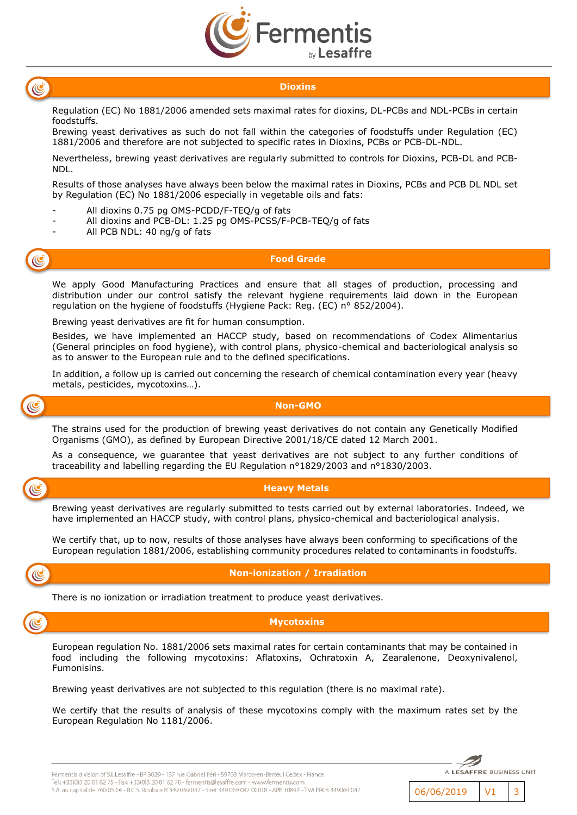



#### **Dioxins**

Regulation (EC) No 1881/2006 amended sets maximal rates for dioxins, DL-PCBs and NDL-PCBs in certain foodstuffs.

Brewing yeast derivatives as such do not fall within the categories of foodstuffs under Regulation (EC) 1881/2006 and therefore are not subjected to specific rates in Dioxins, PCBs or PCB-DL-NDL.

Nevertheless, brewing yeast derivatives are regularly submitted to controls for Dioxins, PCB-DL and PCB-NDL.

Results of those analyses have always been below the maximal rates in Dioxins, PCBs and PCB DL NDL set by Regulation (EC) No 1881/2006 especially in vegetable oils and fats:

- All dioxins 0.75 pg OMS-PCDD/F-TEQ/g of fats
- All dioxins and PCB-DL: 1.25 pg OMS-PCSS/F-PCB-TEQ/g of fats
- All PCB NDL: 40 ng/g of fats

**Food Grade**

We apply Good Manufacturing Practices and ensure that all stages of production, processing and distribution under our control satisfy the relevant hygiene requirements laid down in the European regulation on the hygiene of foodstuffs (Hygiene Pack: Reg. (EC) n° 852/2004).

Brewing yeast derivatives are fit for human consumption.

Besides, we have implemented an HACCP study, based on recommendations of Codex Alimentarius (General principles on food hygiene), with control plans, physico-chemical and bacteriological analysis so as to answer to the European rule and to the defined specifications.

In addition, a follow up is carried out concerning the research of chemical contamination every year (heavy metals, pesticides, mycotoxins…).



C

#### **Non-GMO**

The strains used for the production of brewing yeast derivatives do not contain any Genetically Modified Organisms (GMO), as defined by European Directive 2001/18/CE dated 12 March 2001.

As a consequence, we guarantee that yeast derivatives are not subject to any further conditions of traceability and labelling regarding the EU Regulation n°1829/2003 and n°1830/2003.



Brewing yeast derivatives are regularly submitted to tests carried out by external laboratories. Indeed, we have implemented an HACCP study, with control plans, physico-chemical and bacteriological analysis.

We certify that, up to now, results of those analyses have always been conforming to specifications of the European regulation 1881/2006, establishing community procedures related to contaminants in foodstuffs.



#### **Non-ionization / Irradiation**

There is no ionization or irradiation treatment to produce yeast derivatives.



European regulation No. 1881/2006 sets maximal rates for certain contaminants that may be contained in food including the following mycotoxins: Aflatoxins, Ochratoxin A, Zearalenone, Deoxynivalenol, Fumonisins.

Brewing yeast derivatives are not subjected to this regulation (there is no maximal rate).

We certify that the results of analysis of these mycotoxins comply with the maximum rates set by the European Regulation No 1181/2006.



A LESAFFRE BUSINESS UNIT

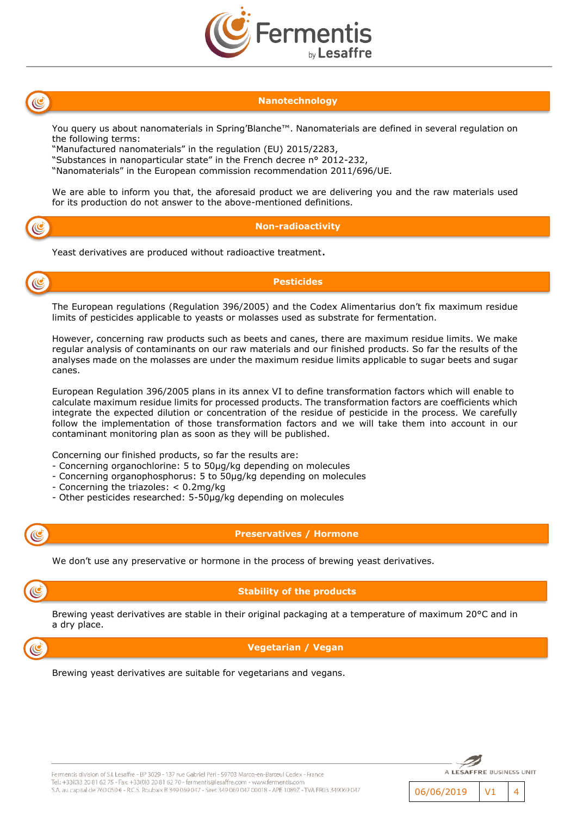



## **Nanotechnology**

You query us about nanomaterials in Spring'Blanche™. Nanomaterials are defined in several regulation on the following terms:

"Manufactured nanomaterials" in the regulation (EU) 2015/2283,

"Substances in nanoparticular state" in the French decree n° 2012-232,

"Nanomaterials" in the European commission recommendation 2011/696/UE.

We are able to inform you that, the aforesaid product we are delivering you and the raw materials used for its production do not answer to the above-mentioned definitions.

# $\mathbb{C}$

#### **Non-radioactivity**

Yeast derivatives are produced without radioactive treatment.



## **Pesticides**

The European regulations (Regulation 396/2005) and the Codex Alimentarius don't fix maximum residue limits of pesticides applicable to yeasts or molasses used as substrate for fermentation.

However, concerning raw products such as beets and canes, there are maximum residue limits. We make regular analysis of contaminants on our raw materials and our finished products. So far the results of the analyses made on the molasses are under the maximum residue limits applicable to sugar beets and sugar canes.

European Regulation 396/2005 plans in its annex VI to define transformation factors which will enable to calculate maximum residue limits for processed products. The transformation factors are coefficients which integrate the expected dilution or concentration of the residue of pesticide in the process. We carefully follow the implementation of those transformation factors and we will take them into account in our contaminant monitoring plan as soon as they will be published.

Concerning our finished products, so far the results are:

- Concerning organochlorine: 5 to 50µg/kg depending on molecules
- Concerning organophosphorus: 5 to 50µg/kg depending on molecules
- Concerning the triazoles: < 0.2mg/kg
- Other pesticides researched: 5-50µg/kg depending on molecules



#### **Preservatives / Hormone**

We don't use any preservative or hormone in the process of brewing yeast derivatives.

## **Stability of the products**

Brewing yeast derivatives are stable in their original packaging at a temperature of maximum 20°C and in a dry place.

## **Vegetarian / Vegan**

Brewing yeast derivatives are suitable for vegetarians and vegans.



Fermentis division of S.I. Lesaffre - BP 3029 - 137 rue Gabriel Péri - 59703 Marcq-en-Barœul Cedex - France .<br>Tel.: +33(0)3 20 81 62 75 - Fax: +33(0)3 20 81 62 70 - fermentis@lesaffre.com - www.fermentis.com S.A. au capital de 760 050 € - R.C.S. Roubaix B 349 069 047 - Siret 349 069 047 00018 - APE 1089Z - TVA FR03 349069 047